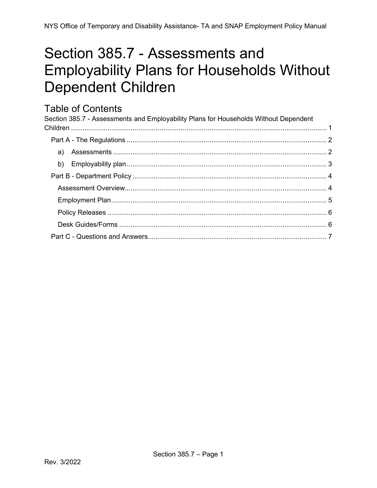# <span id="page-0-0"></span>Section 385.7 - Assessments and **Employability Plans for Households Without Dependent Children**

## **Table of Contents**

| Section 385.7 - Assessments and Employability Plans for Households Without Dependent |  |
|--------------------------------------------------------------------------------------|--|
|                                                                                      |  |
|                                                                                      |  |
|                                                                                      |  |
|                                                                                      |  |
|                                                                                      |  |
|                                                                                      |  |
|                                                                                      |  |
|                                                                                      |  |
|                                                                                      |  |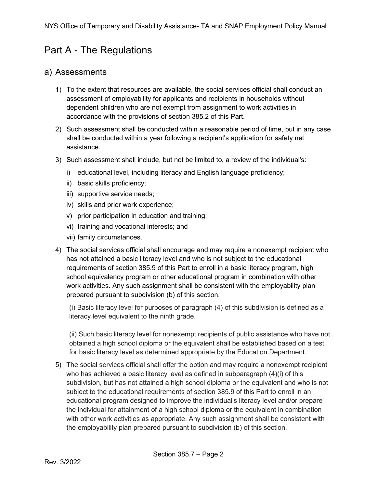## <span id="page-1-0"></span>Part A - The Regulations

#### <span id="page-1-1"></span>a) Assessments

- 1) To the extent that resources are available, the social services official shall conduct an assessment of employability for applicants and recipients in households without dependent children who are not exempt from assignment to work activities in accordance with the provisions of section 385.2 of this Part.
- 2) Such assessment shall be conducted within a reasonable period of time, but in any case shall be conducted within a year following a recipient's application for safety net assistance.
- 3) Such assessment shall include, but not be limited to, a review of the individual's:
	- i) educational level, including literacy and English language proficiency;
	- ii) basic skills proficiency;
	- iii) supportive service needs;
	- iv) skills and prior work experience;
	- v) prior participation in education and training;
	- vi) training and vocational interests; and
	- vii) family circumstances.
- 4) The social services official shall encourage and may require a nonexempt recipient who has not attained a basic literacy level and who is not subject to the educational requirements of section 385.9 of this Part to enroll in a basic literacy program, high school equivalency program or other educational program in combination with other work activities. Any such assignment shall be consistent with the employability plan prepared pursuant to subdivision (b) of this section.

(i) Basic literacy level for purposes of paragraph (4) of this subdivision is defined as a literacy level equivalent to the ninth grade.

(ii) Such basic literacy level for nonexempt recipients of public assistance who have not obtained a high school diploma or the equivalent shall be established based on a test for basic literacy level as determined appropriate by the Education Department.

5) The social services official shall offer the option and may require a nonexempt recipient who has achieved a basic literacy level as defined in subparagraph (4)(i) of this subdivision, but has not attained a high school diploma or the equivalent and who is not subject to the educational requirements of section 385.9 of this Part to enroll in an educational program designed to improve the individual's literacy level and/or prepare the individual for attainment of a high school diploma or the equivalent in combination with other work activities as appropriate. Any such assignment shall be consistent with the employability plan prepared pursuant to subdivision (b) of this section.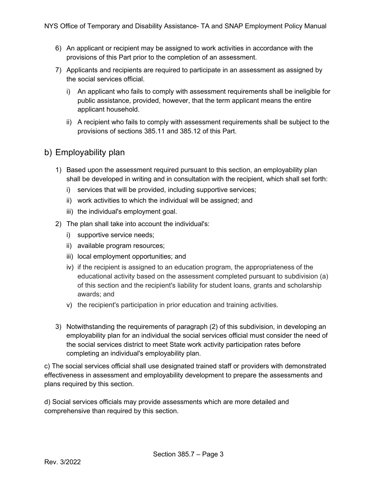- 6) An applicant or recipient may be assigned to work activities in accordance with the provisions of this Part prior to the completion of an assessment.
- 7) Applicants and recipients are required to participate in an assessment as assigned by the social services official.
	- i) An applicant who fails to comply with assessment requirements shall be ineligible for public assistance, provided, however, that the term applicant means the entire applicant household.
	- ii) A recipient who fails to comply with assessment requirements shall be subject to the provisions of sections 385.11 and 385.12 of this Part.

#### <span id="page-2-0"></span>b) Employability plan

- 1) Based upon the assessment required pursuant to this section, an employability plan shall be developed in writing and in consultation with the recipient, which shall set forth:
	- i) services that will be provided, including supportive services;
	- ii) work activities to which the individual will be assigned; and
	- iii) the individual's employment goal.
- 2) The plan shall take into account the individual's:
	- i) supportive service needs;
	- ii) available program resources;
	- iii) local employment opportunities; and
	- iv) if the recipient is assigned to an education program, the appropriateness of the educational activity based on the assessment completed pursuant to subdivision (a) of this section and the recipient's liability for student loans, grants and scholarship awards; and
	- v) the recipient's participation in prior education and training activities.
- 3) Notwithstanding the requirements of paragraph (2) of this subdivision, in developing an employability plan for an individual the social services official must consider the need of the social services district to meet State work activity participation rates before completing an individual's employability plan.

c) The social services official shall use designated trained staff or providers with demonstrated effectiveness in assessment and employability development to prepare the assessments and plans required by this section.

d) Social services officials may provide assessments which are more detailed and comprehensive than required by this section.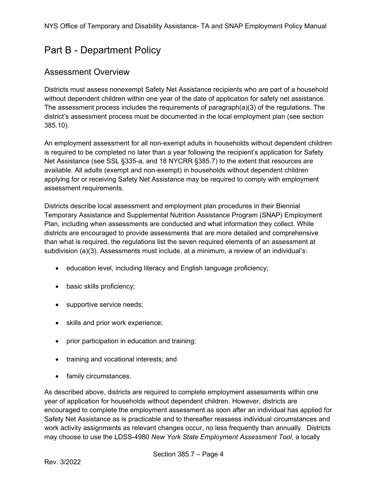## <span id="page-3-0"></span>Part B - Department Policy

#### <span id="page-3-1"></span>Assessment Overview

Districts must assess nonexempt Safety Net Assistance recipients who are part of a household without dependent children within one year of the date of application for safety net assistance. The assessment process includes the requirements of paragraph(a)(3) of the regulations. The district's assessment process must be documented in the local employment plan (see section 385.10).

An employment assessment for all non-exempt adults in households without dependent children is required to be completed no later than a year following the recipient's application for Safety Net Assistance (see SSL §335-a, and 18 NYCRR §385.7) to the extent that resources are available. All adults (exempt and non-exempt) in households without dependent children applying for or receiving Safety Net Assistance may be required to comply with employment assessment requirements.

Districts describe local assessment and employment plan procedures in their Biennial Temporary Assistance and Supplemental Nutrition Assistance Program (SNAP) Employment Plan, including when assessments are conducted and what information they collect. While districts are encouraged to provide assessments that are more detailed and comprehensive than what is required, the regulations list the seven required elements of an assessment at subdivision (a)(3). Assessments must include, at a minimum, a review of an individual's:

- education level, including literacy and English language proficiency;
- basic skills proficiency;
- supportive service needs;
- skills and prior work experience;
- prior participation in education and training;
- training and vocational interests; and
- family circumstances.

As described above, districts are required to complete employment assessments within one year of application for households without dependent children. However, districts are encouraged to complete the employment assessment as soon after an individual has applied for Safety Net Assistance as is practicable and to thereafter reassess individual circumstances and work activity assignments as relevant changes occur, no less frequently than annually. Districts may choose to use the LDSS-4980 *New York State Employment Assessment Tool*, a locally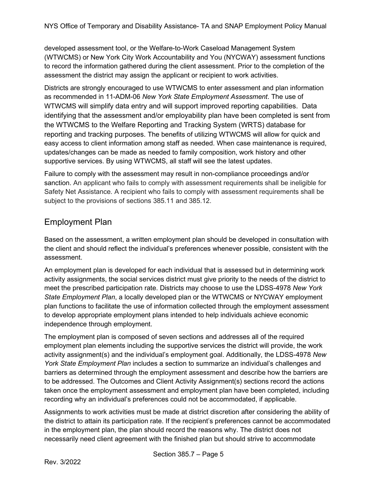developed assessment tool, or the Welfare-to-Work Caseload Management System (WTWCMS) or New York City Work Accountability and You (NYCWAY) assessment functions to record the information gathered during the client assessment. Prior to the completion of the assessment the district may assign the applicant or recipient to work activities.

Districts are strongly encouraged to use WTWCMS to enter assessment and plan information as recommended in 11-ADM-06 *New York State Employment Assessment*. The use of WTWCMS will simplify data entry and will support improved reporting capabilities. Data identifying that the assessment and/or employability plan have been completed is sent from the WTWCMS to the Welfare Reporting and Tracking System (WRTS) database for reporting and tracking purposes. The benefits of utilizing WTWCMS will allow for quick and easy access to client information among staff as needed. When case maintenance is required, updates/changes can be made as needed to family composition, work history and other supportive services. By using WTWCMS, all staff will see the latest updates.

Failure to comply with the assessment may result in non-compliance proceedings and/or sanction. An applicant who fails to comply with assessment requirements shall be ineligible for Safety Net Assistance. A recipient who fails to comply with assessment requirements shall be subject to the provisions of sections 385.11 and 385.12.

### <span id="page-4-0"></span>Employment Plan

Based on the assessment, a written employment plan should be developed in consultation with the client and should reflect the individual's preferences whenever possible, consistent with the assessment.

An employment plan is developed for each individual that is assessed but in determining work activity assignments, the social services district must give priority to the needs of the district to meet the prescribed participation rate. Districts may choose to use the LDSS-4978 *New York State Employment Plan*, a locally developed plan or the WTWCMS or NYCWAY employment plan functions to facilitate the use of information collected through the employment assessment to develop appropriate employment plans intended to help individuals achieve economic independence through employment.

The employment plan is composed of seven sections and addresses all of the required employment plan elements including the supportive services the district will provide, the work activity assignment(s) and the individual's employment goal. Additionally, the LDSS-4978 *New York State Employment Plan* includes a section to summarize an individual's challenges and barriers as determined through the employment assessment and describe how the barriers are to be addressed. The Outcomes and Client Activity Assignment(s) sections record the actions taken once the employment assessment and employment plan have been completed, including recording why an individual's preferences could not be accommodated, if applicable.

Assignments to work activities must be made at district discretion after considering the ability of the district to attain its participation rate. If the recipient's preferences cannot be accommodated in the employment plan, the plan should record the reasons why. The district does not necessarily need client agreement with the finished plan but should strive to accommodate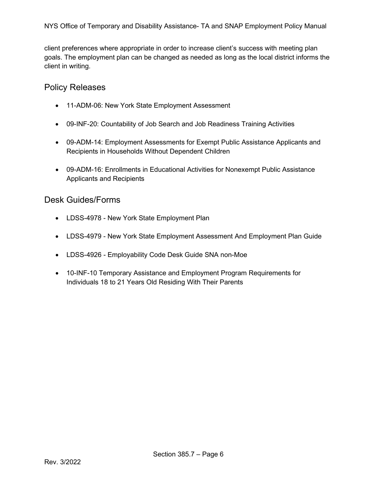client preferences where appropriate in order to increase client's success with meeting plan goals. The employment plan can be changed as needed as long as the local district informs the client in writing.

#### <span id="page-5-0"></span>Policy Releases

- 11-ADM-06: New York State Employment Assessment
- 09-INF-20: Countability of Job Search and Job Readiness Training Activities
- 09-ADM-14: Employment Assessments for Exempt Public Assistance Applicants and Recipients in Households Without Dependent Children
- [09-ADM-16:](http://otda.ny.gov/policy/directives/2009/ADM/09-ADM-16.pdf) Enrollments in Educational Activities for Nonexempt Public Assistance Applicants and Recipients

#### <span id="page-5-1"></span>Desk Guides/Forms

- LDSS[-4978 New York State Employment Plan](http://otda.state.nyenet/ldss_eforms/eforms/4978.pdf)
- LDSS[-4979 New York State Employment Assessment And Employment Plan Guide](http://otda.state.nyenet/ldss_eforms/eforms/4979.pdf)
- [LDSS-4926](http://otda.state.nyenet/ldss_eforms/eforms/4926.pdf)  Employability Code Desk Guide SNA non-Moe
- <span id="page-5-2"></span>• 10-INF-10 Temporary Assistance and Employment Program Requirements for Individuals 18 to 21 Years Old Residing With Their Parents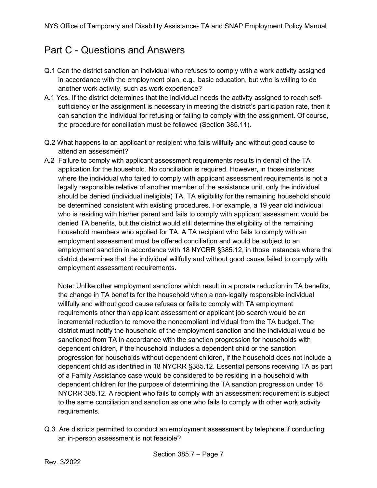## Part C - Questions and Answers

- Q.1 Can the district sanction an individual who refuses to comply with a work activity assigned in accordance with the employment plan, e.g., basic education, but who is willing to do another work activity, such as work experience?
- A.1 Yes. If the district determines that the individual needs the activity assigned to reach selfsufficiency or the assignment is necessary in meeting the district's participation rate, then it can sanction the individual for refusing or failing to comply with the assignment. Of course, the procedure for conciliation must be followed (Section 385.11).
- Q.2 What happens to an applicant or recipient who fails willfully and without good cause to attend an assessment?
- A.2 Failure to comply with applicant assessment requirements results in denial of the TA application for the household. No conciliation is required. However, in those instances where the individual who failed to comply with applicant assessment requirements is not a legally responsible relative of another member of the assistance unit, only the individual should be denied (individual ineligible) TA. TA eligibility for the remaining household should be determined consistent with existing procedures. For example, a 19 year old individual who is residing with his/her parent and fails to comply with applicant assessment would be denied TA benefits, but the district would still determine the eligibility of the remaining household members who applied for TA. A TA recipient who fails to comply with an employment assessment must be offered conciliation and would be subject to an employment sanction in accordance with 18 NYCRR §385.12, in those instances where the district determines that the individual willfully and without good cause failed to comply with employment assessment requirements.

Note: Unlike other employment sanctions which result in a prorata reduction in TA benefits, the change in TA benefits for the household when a non-legally responsible individual willfully and without good cause refuses or fails to comply with TA employment requirements other than applicant assessment or applicant job search would be an incremental reduction to remove the noncompliant individual from the TA budget. The district must notify the household of the employment sanction and the individual would be sanctioned from TA in accordance with the sanction progression for households with dependent children, if the household includes a dependent child or the sanction progression for households without dependent children, if the household does not include a dependent child as identified in 18 NYCRR §385.12. Essential persons receiving TA as part of a Family Assistance case would be considered to be residing in a household with dependent children for the purpose of determining the TA sanction progression under 18 NYCRR 385.12. A recipient who fails to comply with an assessment requirement is subject to the same conciliation and sanction as one who fails to comply with other work activity requirements.

Q.3 Are districts permitted to conduct an employment assessment by telephone if conducting an in-person assessment is not feasible?